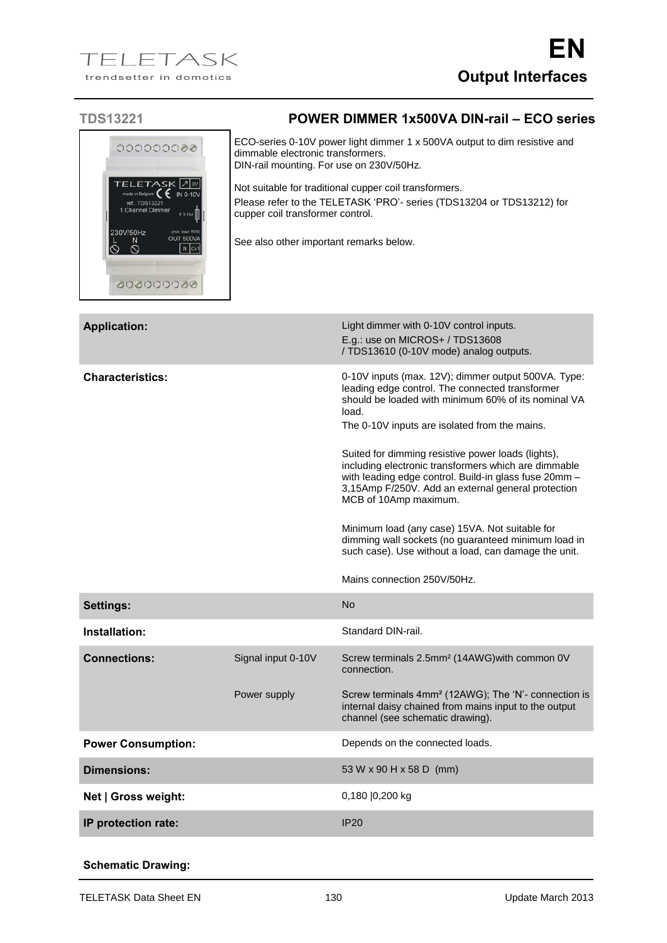| <b>TDS13221</b>                                                                                                                                                                                         | <b>POWER DIMMER 1x500VA DIN-rail - ECO series</b>                                                                                                                                                                                                                                                                                                                            |  |
|---------------------------------------------------------------------------------------------------------------------------------------------------------------------------------------------------------|------------------------------------------------------------------------------------------------------------------------------------------------------------------------------------------------------------------------------------------------------------------------------------------------------------------------------------------------------------------------------|--|
| 000000000<br><b>TELETASK 7W</b><br>IN 0-10V<br>made in Belgium<br>ref.: TDS13221<br>1 Channel Dimmer<br>F.3.15A<br>230V/50Hz<br>(min. load 15W)<br>OUT 500VA<br>N<br>$\circ$<br>ାତ<br>N Chi<br>00000000 | ECO-series 0-10V power light dimmer 1 x 500VA output to dim resistive and<br>dimmable electronic transformers.<br>DIN-rail mounting. For use on 230V/50Hz.<br>Not suitable for traditional cupper coil transformers.<br>Please refer to the TELETASK 'PRO'- series (TDS13204 or TDS13212) for<br>cupper coil transformer control.<br>See also other important remarks below. |  |
| <b>Application:</b>                                                                                                                                                                                     | Light dimmer with 0-10V control inputs.<br>E.g.: use on MICROS+ / TDS13608<br>/ TDS13610 (0-10V mode) analog outputs.                                                                                                                                                                                                                                                        |  |
| <b>Characteristics:</b>                                                                                                                                                                                 | 0-10V inputs (max. 12V); dimmer output 500VA. Type:<br>leading edge control. The connected transformer<br>should be loaded with minimum 60% of its nominal VA<br>load.<br>The 0-10V inputs are isolated from the mains.                                                                                                                                                      |  |
|                                                                                                                                                                                                         | Suited for dimming resistive power loads (lights),<br>including electronic transformers which are dimmable                                                                                                                                                                                                                                                                   |  |

including electronic transformers which are dimmable with leading edge control. Build-in glass fuse 20mm – 3,15Amp F/250V. Add an external general protection MCB of 10Amp maximum.

Minimum load (any case) 15VA. Not suitable for dimming wall sockets (no guaranteed minimum load in such case). Use without a load, can damage the unit.

Mains connection 250V/50Hz.

| <b>Settings:</b>           |                    | N <sub>o</sub>                                                                                                                                                |
|----------------------------|--------------------|---------------------------------------------------------------------------------------------------------------------------------------------------------------|
| Installation:              |                    | Standard DIN-rail.                                                                                                                                            |
| <b>Connections:</b>        | Signal input 0-10V | Screw terminals 2.5mm <sup>2</sup> (14AWG) with common 0V<br>connection.                                                                                      |
|                            | Power supply       | Screw terminals 4mm <sup>2</sup> (12AWG); The 'N'- connection is<br>internal daisy chained from mains input to the output<br>channel (see schematic drawing). |
| <b>Power Consumption:</b>  |                    | Depends on the connected loads.                                                                                                                               |
| <b>Dimensions:</b>         |                    | 53 W x 90 H x 58 D (mm)                                                                                                                                       |
| Net   Gross weight:        |                    | 0,180 0,200 kg                                                                                                                                                |
| <b>IP</b> protection rate: |                    | IP20                                                                                                                                                          |

## **Schematic Drawing:**